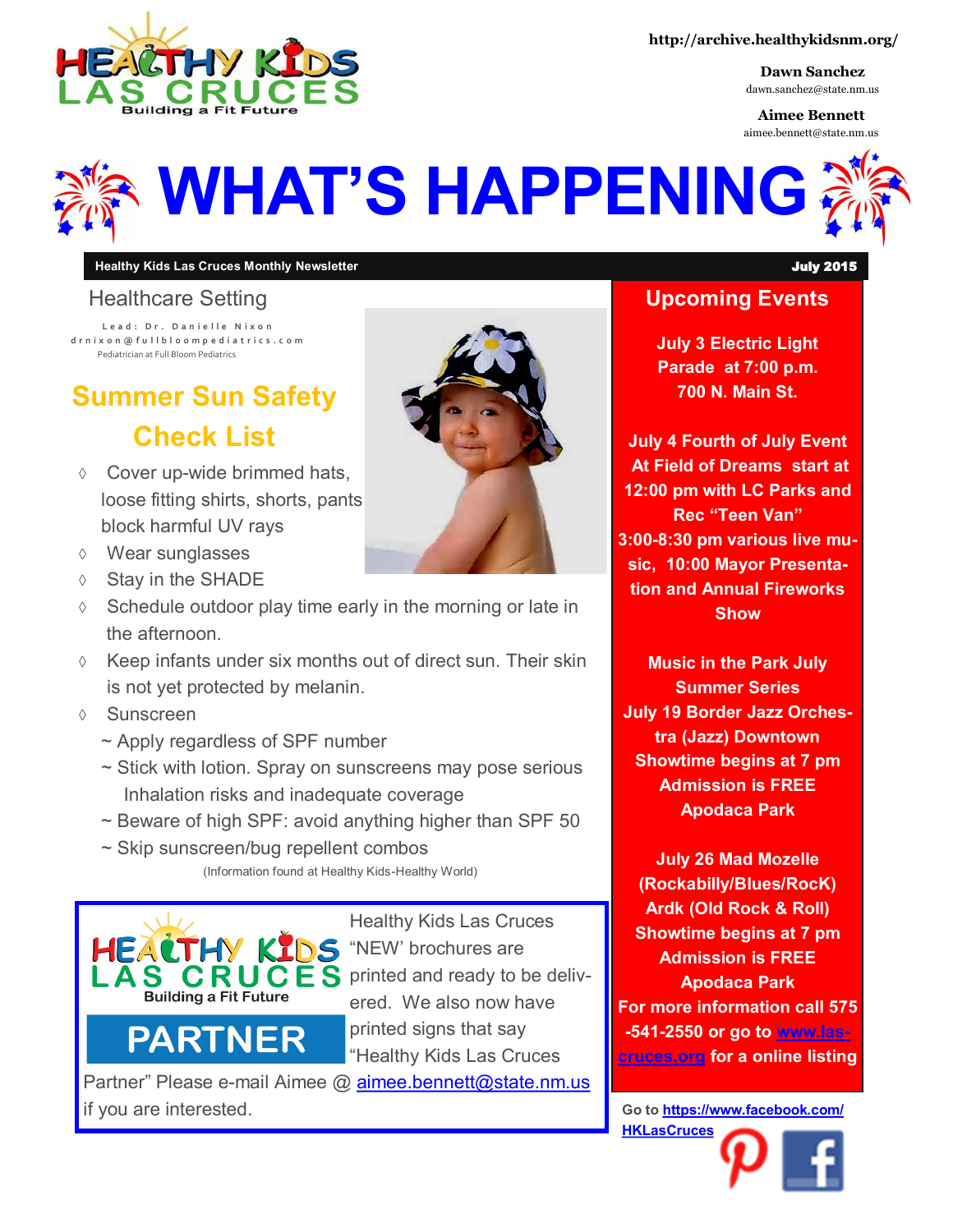

**http://archive.healthykidsnm.org/**

**Dawn Sanchez** dawn.sanchez@state.nm.us

**Aimee Bennett** aimee.bennett@state.nm.us



#### **Healthy Kids Las Cruces Monthly Newsletter** July 2015

#### Healthcare Setting

**L e a d : D r . D a n i e l l e N i x o n d r n i x o n @ f u l l b l o o m p e d i a t r i c s . c o m** Pediatrician at Full Bloom Pediatrics

# **Summer Sun Safety Check List**

- Cover up-wide brimmed hats, loose fitting shirts, shorts, pants block harmful UV rays
- Wear sunglasses
- $\Diamond$  Stay in the SHADE
- $\Diamond$  Schedule outdoor play time early in the morning or late in the afternoon.
- $\Diamond$  Keep infants under six months out of direct sun. Their skin is not yet protected by melanin.
- Sunscreen
	- ~ Apply regardless of SPF number
	- ~ Stick with lotion. Spray on sunscreens may pose serious Inhalation risks and inadequate coverage
	- $\sim$  Beware of high SPF: avoid anything higher than SPF 50
	- ~ Skip sunscreen/bug repellent combos (Information found at Healthy Kids-Healthy World)



**PARTNER** 

Healthy Kids Las Cruces KIDS "NEW' brochures are **CRUCES** printed and ready to be delivered. We also now have printed signs that say "Healthy Kids Las Cruces

Partner" Please e-mail Aimee @ [aimee.bennett@state.nm.us](mailto:aimee.bennett@state.nm.us?subject=HKLC%20Partner%20Signs) if you are interested.

# **Upcoming Events July 3 Electric Light Parade at 7:00 p.m.**

**July 4 Fourth of July Event At Field of Dreams start at 12:00 pm with LC Parks and Rec "Teen Van" 3:00-8:30 pm various live music, 10:00 Mayor Presentation and Annual Fireworks Show**

**700 N. Main St.** 

**Music in the Park July Summer Series July 19 Border Jazz Orchestra (Jazz) Downtown Showtime begins at 7 pm Admission is FREE Apodaca Park**

**July 26 Mad Mozelle (Rockabilly/Blues/RocK) Ardk (Old Rock & Roll) Showtime begins at 7 pm Admission is FREE Apodaca Park For more information call 575 -541-2550 or go to [www.las](http://www.las-cruces.org/)[cruces.org](http://www.las-cruces.org/) for a online listing**

**Go to [https://www.facebook.com/](https://www.facebook.com/HKLasCruces?ref=hl) [HKLasCruces](https://www.facebook.com/HKLasCruces?ref=hl)**

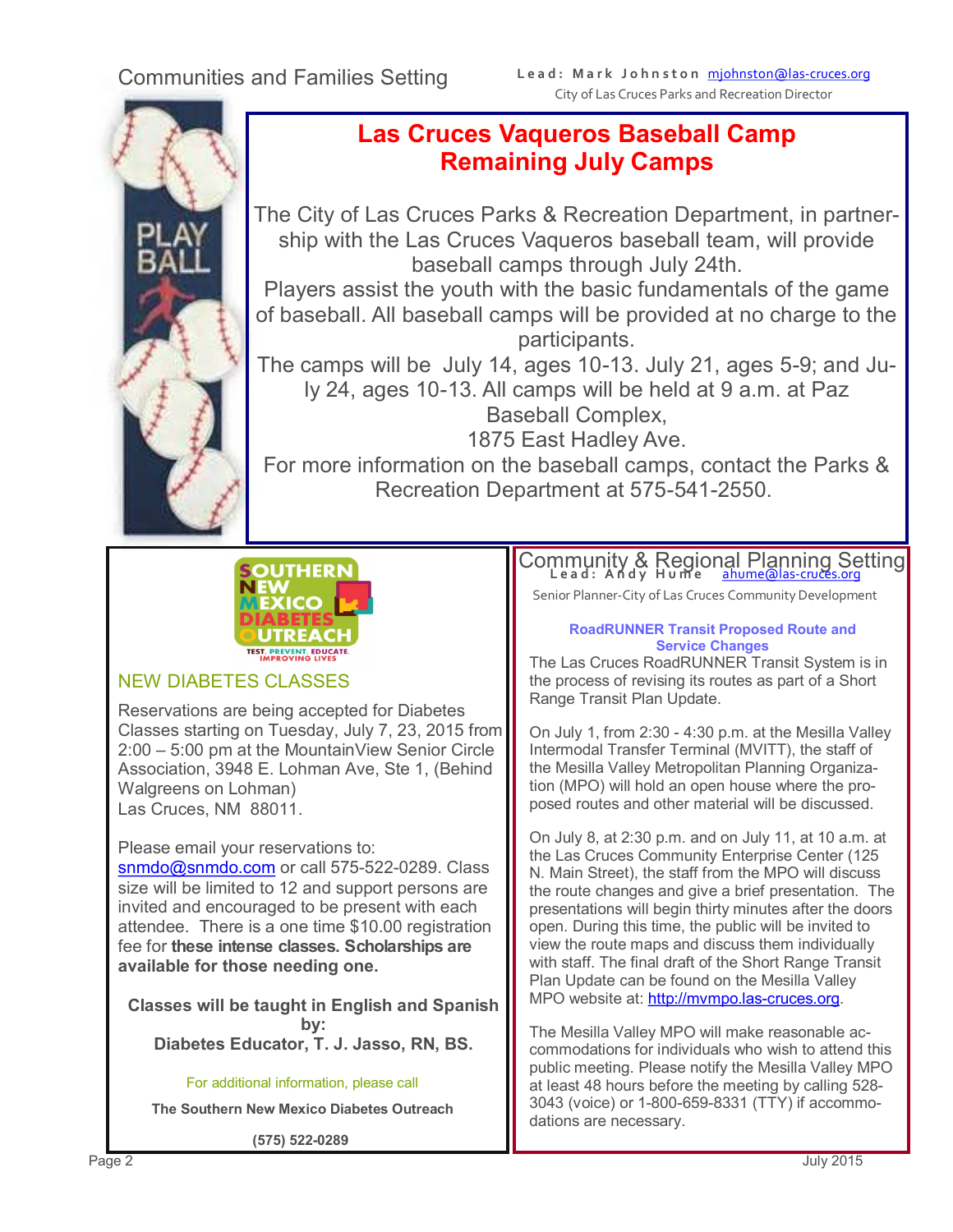

## **Las Cruces Vaqueros Baseball Camp Remaining July Camps**

The City of Las Cruces Parks & Recreation Department, in partnership with the Las Cruces Vaqueros baseball team, will provide baseball camps through July 24th.

Players assist the youth with the basic fundamentals of the game of baseball. All baseball camps will be provided at no charge to the participants.

The camps will be July 14, ages 10-13. July 21, ages 5-9; and July 24, ages 10-13. All camps will be held at 9 a.m. at Paz Baseball Complex,

1875 East Hadley Ave.

For more information on the baseball camps, contact the Parks & Recreation Department at 575-541-2550.



### NEW DIABETES CLASSES

Reservations are being accepted for Diabetes Classes starting on Tuesday, July 7, 23, 2015 from 2:00 – 5:00 pm at the MountainView Senior Circle Association, 3948 E. Lohman Ave, Ste 1, (Behind Walgreens on Lohman) Las Cruces, NM 88011.

Please email your reservations to:

[snmdo@snmdo.com](mailto:snmdo@snmdo.com) or call 575-522-0289. Class size will be limited to 12 and support persons are invited and encouraged to be present with each attendee. There is a one time \$10.00 registration fee for **these intense classes. Scholarships are available for those needing one.**

**Classes will be taught in English and Spanish by: Diabetes Educator, T. J. Jasso, RN, BS.**

For additional information, please call **The Southern New Mexico Diabetes Outreach**

**(575) 522-0289**

Community & Regio[nal Planning Set](mailto:ahume@las-cruces.org)ting

Senior Planner-City of Las Cruces Community Development

#### **RoadRUNNER Transit Proposed Route and Service Changes**

The Las Cruces RoadRUNNER Transit System is in the process of revising its routes as part of a Short Range Transit Plan Update.

On July 1, from 2:30 - 4:30 p.m. at the Mesilla Valley Intermodal Transfer Terminal (MVITT), the staff of the Mesilla Valley Metropolitan Planning Organization (MPO) will hold an open house where the proposed routes and other material will be discussed.

On July 8, at 2:30 p.m. and on July 11, at 10 a.m. at the Las Cruces Community Enterprise Center (125 N. Main Street), the staff from the MPO will discuss the route changes and give a brief presentation. The presentations will begin thirty minutes after the doors open. During this time, the public will be invited to view the route maps and discuss them individually with staff. The final draft of the Short Range Transit Plan Update can be found on the Mesilla Valley MPO website at: [http://mvmpo.las](mailto:ahume@las-cruces.org)-cruces.org.

The Mesilla Valley MPO will make reasonable accommodations for individuals who wish to attend this public meeting. Please notify the Mesilla Valley MPO at least 48 hours before the meeting by calling 528- 3043 (voice) or 1-800-659-8331 (TTY) if accommodations are necessary.